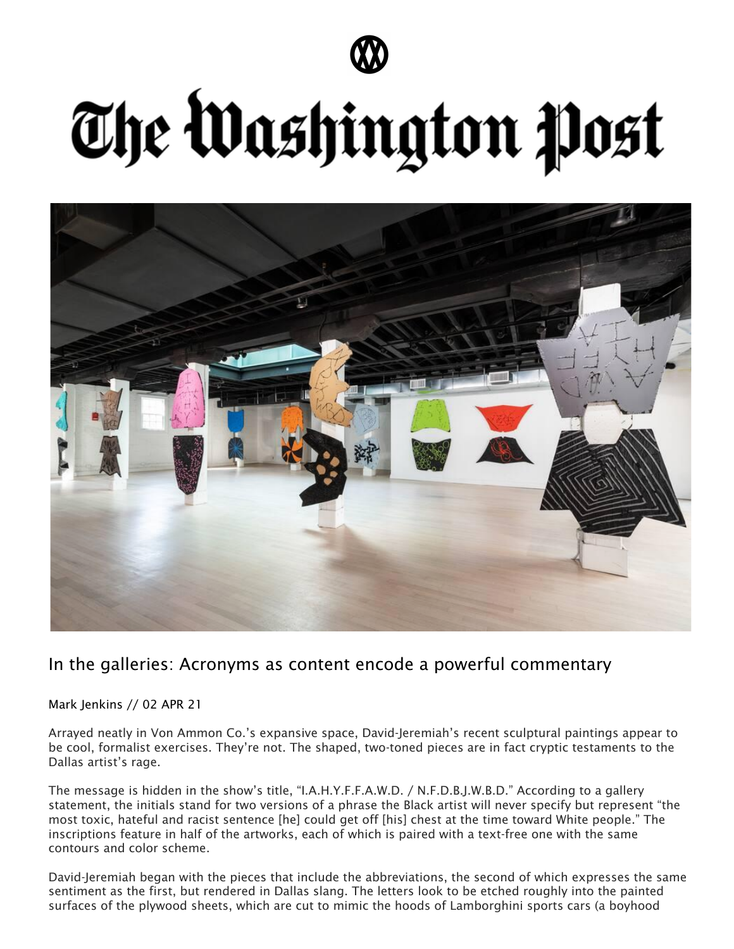

## The Washington Post



## In the galleries: Acronyms as content encode a powerful commentary

Mark Jenkins // 02 APR 21

Arrayed neatly in Von Ammon Co.'s expansive space, David-Jeremiah's recent sculptural paintings appear to be cool, formalist exercises. They're not. The shaped, two-toned pieces are in fact cryptic testaments to the Dallas artist's rage.

The message is hidden in the show's title, "I.A.H.Y.F.F.A.W.D. / N.F.D.B.J.W.B.D." According to a gallery statement, the initials stand for two versions of a phrase the Black artist will never specify but represent "the most toxic, hateful and racist sentence [he] could get off [his] chest at the time toward White people." The inscriptions feature in half of the artworks, each of which is paired with a text-free one with the same contours and color scheme.

David-Jeremiah began with the pieces that include the abbreviations, the second of which expresses the same sentiment as the first, but rendered in Dallas slang. The letters look to be etched roughly into the painted surfaces of the plywood sheets, which are cut to mimic the hoods of Lamborghini sports cars (a boyhood